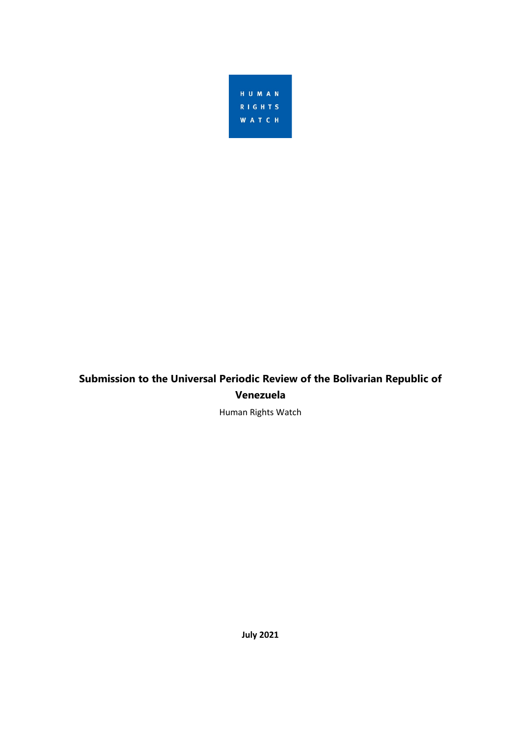

# **Submission to the Universal Periodic Review of the Bolivarian Republic of Venezuela**

Human Rights Watch

**July 2021**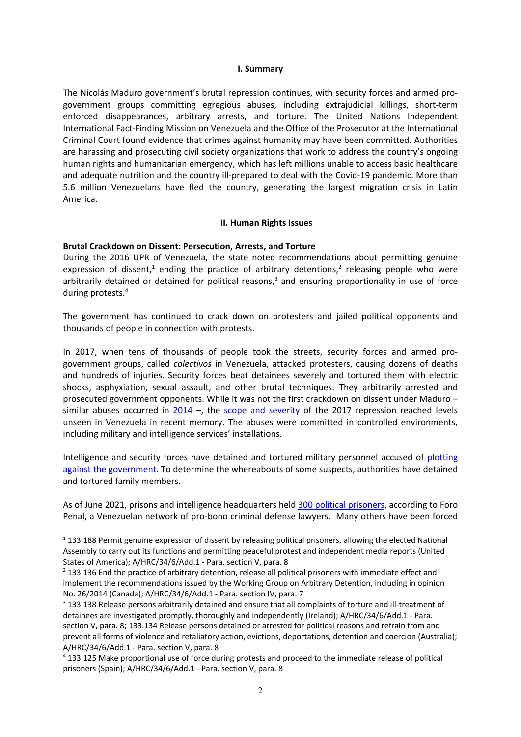### **I. Summary**

The Nicolás Maduro government'<sup>s</sup> brutal repression continues, with security forces and armed progovernment groups committing egregious abuses, including extrajudicial killings, short-term enforced disappearances, arbitrary arrests, and torture. The United Nations Independent International Fact-Finding Mission on Venezuela and the Office of the Prosecutor at the International Criminal Court found evidence that crimes against humanity may have been committed. Authorities are harassing and prosecuting civil society organizations that work to address the country'<sup>s</sup> ongoing human rights and humanitarian emergency, which has left millions unable to access basic healthcare and adequate nutrition and the country ill-prepared to deal with the Covid-19 pandemic. More than 5.6 million Venezuelans have fled the country, generating the largest migration crisis in Latin America.

### **II. Human Rights Issues**

### **Brutal Crackdown on Dissent: Persecution, Arrests, and Torture**

During the 2016 UPR of Venezuela, the state noted recommendations about permitting genuine expression of dissent,<sup>1</sup> ending the practice of arbitrary detentions,<sup>2</sup> releasing people who were arbitrarily detained or detained for political reasons,<sup>3</sup> and ensuring proportionality in use of force during protests. 4

The government has continued to crack down on protesters and jailed political opponents and thousands of people in connection with protests.

In 2017, when tens of thousands of people took the streets, security forces and armed progovernment groups, called *colectivos* in Venezuela, attacked protesters, causing dozens of deaths and hundreds of injuries. Security forces beat detainees severely and tortured them with electric shocks, asphyxiation, sexual assault, and other brutal techniques. They arbitrarily arrested and prosecuted government opponents. While it was not the first crackdown on dissent under Maduro – similar abuses occurred in [2014](https://www.hrw.org/report/2014/05/05/punished-protesting/rights-violations-venezuelas-streets-detention-centers-and) –, the scope and [severity](https://www.hrw.org/news/2017/11/29/venezuela-systematic-abuses-opponents) of the 2017 repression reached levels unseen in Venezuela in recent memory. The abuses were committed in controlled environments, including military and intelligence services' installations.

Intelligence and security forces have detained and tortured military personnel accused of [plotting](https://www.hrw.org/news/2019/01/09/venezuela-suspected-plotters-tortured) against the [government](https://www.hrw.org/news/2019/01/09/venezuela-suspected-plotters-tortured). To determine the whereabouts of some suspects, authorities have detained and tortured family members.

As of June 2021, prisons and intelligence headquarters held 300 political [prisoners,](https://twitter.com/ForoPenal/status/1409913917321662478) according to Foro Penal, <sup>a</sup> Venezuelan network of pro-bono criminal defense lawyers. Many others have been forced

<sup>1</sup> 133.188 Permit genuine expression of dissent by releasing political prisoners, allowing the elected National Assembly to carry out its functions and permitting peaceful protest and independent media reports (United States of America); A/HRC/34/6/Add.1 - Para. section V, para. 8

<sup>&</sup>lt;sup>2</sup> 133.136 End the practice of arbitrary detention, release all political prisoners with immediate effect and implement the recommendations issued by the Working Group on Arbitrary Detention, including in opinion No. 26/2014 (Canada); A/HRC/34/6/Add.1 - Para. section IV, para. 7

<sup>3</sup> 133.138 Release persons arbitrarily detained and ensure that all complaints of torture and ill-treatment of detainees are investigated promptly, thoroughly and independently (Ireland); A/HRC/34/6/Add.1 - Para. section V, para. 8; 133.134 Release persons detained or arrested for political reasons and refrain from and prevent all forms of violence and retaliatory action, evictions, deportations, detention and coercion (Australia); A/HRC/34/6/Add.1 - Para. section V, para. 8

<sup>4</sup> 133.125 Make proportional use of force during protests and proceed to the immediate release of political prisoners (Spain); A/HRC/34/6/Add.1 - Para. section V, para. 8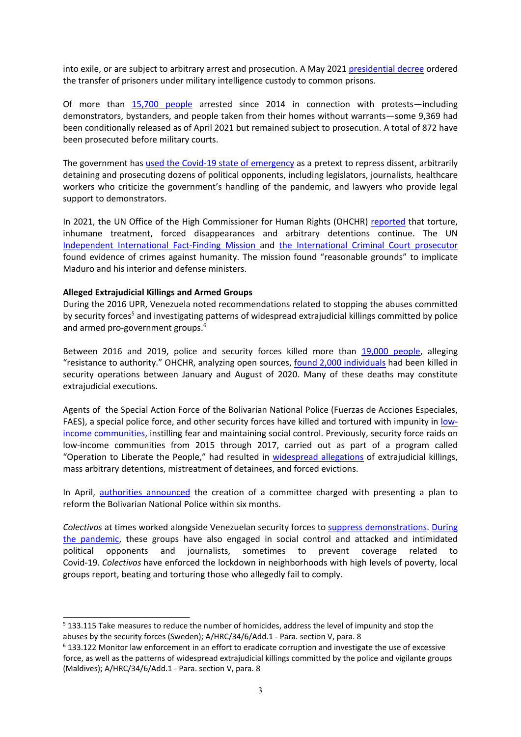into exile, or are subject to arbitrary arrest and prosecution. A May 2021 [presidential](http://spgoin.imprentanacional.gob.ve/cgi-win/be_alex.cgi?Documento=T028700035872/0&Nombrebd=spgoin&CodAsocDoc=2530&t04=1&t05=png&TipoDoc=GCTOF&Sesion=1926024791) decree ordered the transfer of prisoners under military intelligence custody to common prisons.

Of more than 15,700 [people](https://foropenal.com/wp-content/uploads/2021/06/REPORTE-ABRIL-210625.pdf) arrested since 2014 in connection with protests—including demonstrators, bystanders, and people taken from their homes without warrants—some 9,369 had been conditionally released as of April 2021 but remained subject to prosecution. A total of 872 have been prosecuted before military courts.

The government has used the Covid-19 state of [emergency](https://www.hrw.org/news/2020/08/28/venezuela-police-state-lashes-out-amid-covid-19) as <sup>a</sup> pretext to repress dissent, arbitrarily detaining and prosecuting dozens of political opponents, including legislators, journalists, healthcare workers who criticize the government'<sup>s</sup> handling of the pandemic, and lawyers who provide legal support to demonstrators.

In 2021, the UN Office of the High Commissioner for Human Rights (OHCHR) [reported](https://undocs.org/es/A/HRC/47/55) that torture, inhumane treatment, forced disappearances and arbitrary detentions continue. The UN [Independent](https://www.hrw.org/news/2020/09/16/venezuela-un-inquiry-finds-crimes-against-humanity) International Fact-Finding Mission and the [International](https://www.hrw.org/news/2020/12/14/venezuela-justice-needed-systematic-abuses) Criminal Court prosecutor found evidence of crimes against humanity. The mission found "reasonable grounds" to implicate Maduro and his interior and defense ministers.

# **Alleged Extrajudicial Killings and Armed Groups**

During the 2016 UPR, Venezuela noted recommendations related to stopping the abuses committed by security forces<sup>5</sup> and investigating patterns of widespread extrajudicial killings committed by police and armed pro-government groups. 6

Between 2016 and 2019, police and security forces killed more than 19,000 [people](https://www.ohchr.org/en/NewsEvents/Pages/DisplayNews.aspx?NewsID=24788&LangID=E), alleging "resistance to authority." OHCHR, analyzing open sources, found 2,000 [individuals](https://www.ohchr.org/en/NewsEvents/Pages/DisplayNews.aspx?NewsID=26295&LangID=e) had been killed in security operations between January and August of 2020. Many of these deaths may constitute extrajudicial executions.

Agents of the Special Action Force of the Bolivarian National Police (Fuerzas de Acciones Especiales, FAES), <sup>a</sup> special police force, and other security forces have killed and tortured with impunity in [low](https://www.hrw.org/news/2019/09/18/venezuela-extrajudicial-killings-poor-areas)income [communities](https://www.hrw.org/news/2019/09/18/venezuela-extrajudicial-killings-poor-areas), instilling fear and maintaining social control. Previously, security force raids on low-income communities from 2015 through 2017, carried out as part of <sup>a</sup> program called "Operation to Liberate the People," had resulted in [widespread](https://www.hrw.org/report/2016/04/04/unchecked-power/police-and-military-raids-low-income-and-immigrant-communities) allegations of extrajudicial killings, mass arbitrary detentions, mistreatment of detainees, and forced evictions.

In April, authorities [announced](https://app.box.com/s/fcnli8ncfpff9gqh3smsp5ij6benmca5) the creation of <sup>a</sup> committee charged with presenting <sup>a</sup> plan to reform the Bolivarian National Police within six months.

*Colectivos* at times worked alongside Venezuelan security forces to suppress [demonstrations](https://www.hrw.org/report/2017/11/30/crackdown-dissent/brutality-torture-and-political-persecution-venezuela). [During](https://www.hrw.org/news/2020/08/28/venezuela-police-state-lashes-out-amid-covid-19) the [pandemic](https://www.hrw.org/news/2020/08/28/venezuela-police-state-lashes-out-amid-covid-19), these groups have also engaged in social control and attacked and intimidated political opponents and journalists, sometimes to prevent coverage related to Covid-19. *Colectivos* have enforced the lockdown in neighborhoods with high levels of poverty, local groups report, beating and torturing those who allegedly fail to comply.

<sup>&</sup>lt;sup>5</sup> 133.115 Take measures to reduce the number of homicides, address the level of impunity and stop the abuses by the security forces (Sweden); A/HRC/34/6/Add.1 - Para. section V, para. 8

<sup>6</sup> 133.122 Monitor law enforcement in an effort to eradicate corruption and investigate the use of excessive force, as well as the patterns of widespread extrajudicial killings committed by the police and vigilante groups (Maldives); A/HRC/34/6/Add.1 - Para. section V, para. 8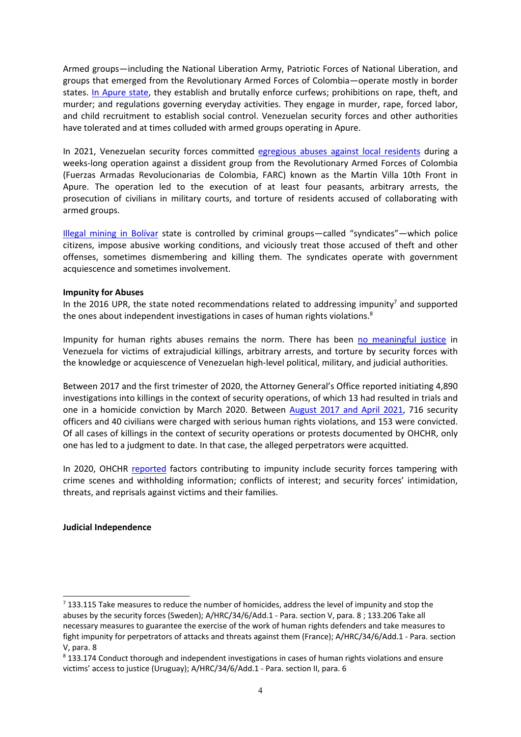Armed groups—including the National Liberation Army, Patriotic Forces of National Liberation, and groups that emerged from the Revolutionary Armed Forces of Colombia—operate mostly in border states. In [Apure](https://www.hrw.org/report/2020/01/22/guerrillas-are-police/social-control-and-abuses-armed-groups-colombias-arauca) state, they establish and brutally enforce curfews; prohibitions on rape, theft, and murder; and regulations governing everyday activities. They engage in murder, rape, forced labor, and child recruitment to establish social control. Venezuelan security forces and other authorities have tolerated and at times colluded with armed groups operating in Apure.

In 2021, Venezuelan security forces committed [egregious](https://www.hrw.org/news/2021/04/26/venezuela-security-force-abuses-colombia-border) abuses against local residents during <sup>a</sup> weeks-long operation against <sup>a</sup> dissident group from the Revolutionary Armed Forces of Colombia (Fuerzas Armadas Revolucionarias de Colombia, FARC) known as the Martin Villa 10th Front in Apure. The operation led to the execution of at least four peasants, arbitrary arrests, the prosecution of civilians in military courts, and torture of residents accused of collaborating with armed groups.

Illegal [mining](https://www.hrw.org/news/2020/02/04/venezuela-violent-abuses-illegal-gold-mines) in Bolívar state is controlled by criminal groups—called "syndicates"—which police citizens, impose abusive working conditions, and viciously treat those accused of theft and other offenses, sometimes dismembering and killing them. The syndicates operate with government acquiescence and sometimes involvement.

# **Impunity for Abuses**

In the 2016 UPR, the state noted recommendations related to addressing impunity<sup>7</sup> and supported the ones about independent investigations in cases of human rights violations.<sup>8</sup>

Impunity for human rights abuses remains the norm. There has been no [meaningful](https://www.hrw.org/news/2020/12/14/venezuela-justice-needed-systematic-abuses) justice in Venezuela for victims of extrajudicial killings, arbitrary arrests, and torture by security forces with the knowledge or acquiescence of Venezuelan high-level political, military, and judicial authorities.

Between 2017 and the first trimester of 2020, the Attorney General'<sup>s</sup> Office reported initiating 4,890 investigations into killings in the context of security operations, of which 13 had resulted in trials and one in <sup>a</sup> homicide conviction by March 2020. Between [August](https://undocs.org/es/A/HRC/47/55) 2017 and April 2021, 716 security officers and 40 civilians were charged with serious human rights violations, and 153 were convicted. Of all cases of killings in the context of security operations or protests documented by OHCHR, only one has led to <sup>a</sup> judgment to date. In that case, the alleged perpetrators were acquitted.

In 2020, OHCHR [reported](https://www.ohchr.org/EN/HRBodies/HRC/RegularSessions/Session44/Documents/A_HRC_44_54.pdf) factors contributing to impunity include security forces tampering with crime scenes and withholding information; conflicts of interest; and security forces' intimidation, threats, and reprisals against victims and their families.

# **Judicial Independence**

<sup>&</sup>lt;sup>7</sup> 133.115 Take measures to reduce the number of homicides, address the level of impunity and stop the abuses by the security forces (Sweden); A/HRC/34/6/Add.1 - Para. section V, para. 8 ; 133.206 Take all necessary measures to guarantee the exercise of the work of human rights defenders and take measures to fight impunity for perpetrators of attacks and threats against them (France); A/HRC/34/6/Add.1 - Para. section V, para. 8

<sup>8</sup> 133.174 Conduct thorough and independent investigations in cases of human rights violations and ensure victims' access to justice (Uruguay); A/HRC/34/6/Add.1 - Para. section II, para. 6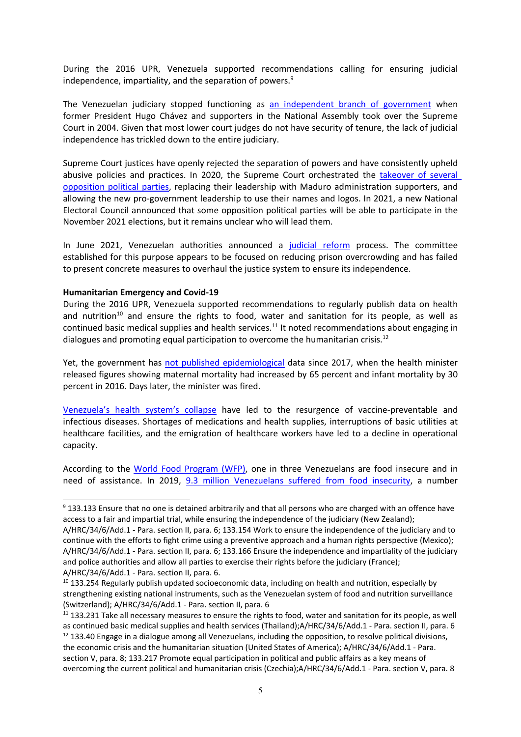During the 2016 UPR, Venezuela supported recommendations calling for ensuring judicial independence, impartiality, and the separation of powers.<sup>9</sup>

The Venezuelan judiciary stopped functioning as an [independent](https://www.hrw.org/report/2012/07/17/tightening-grip/concentration-and-abuse-power-chavezs-venezuela) branch of government when former President Hugo Chávez and supporters in the National Assembly took over the Supreme Court in 2004. Given that most lower court judges do not have security of tenure, the lack of judicial independence has trickled down to the entire judiciary.

Supreme Court justices have openly rejected the separation of powers and have consistently upheld abusive policies and practices. In 2020, the Supreme Court orchestrated the [takeover](https://www.hrw.org/news/2020/07/07/venezuela-rulings-threaten-free-and-fair-elections) of several [opposition](https://www.hrw.org/news/2020/07/07/venezuela-rulings-threaten-free-and-fair-elections) political parties, replacing their leadership with Maduro administration supporters, and allowing the new pro-government leadership to use their names and logos. In 2021, <sup>a</sup> new National Electoral Council announced that some opposition political parties will be able to participate in the November 2021 elections, but it remains unclear who will lead them.

In June 2021, Venezuelan authorities announced <sup>a</sup> [judicial](https://elpais.com/internacional/2021-06-23/maduro-encarga-una-reforma-del-poder-judicial-de-venezuela-a-su-esposa-y-al-numero-dos-del-chavismo.html) reform process. The committee established for this purpose appears to be focused on reducing prison overcrowding and has failed to present concrete measures to overhaul the justice system to ensure its independence.

### **Humanitarian Emergency and Covid-19**

During the 2016 UPR, Venezuela supported recommendations to regularly publish data on health and nutrition<sup>10</sup> and ensure the rights to food, water and sanitation for its people, as well as continued basic medical supplies and health services.<sup>11</sup> It noted recommendations about engaging in dialogues and promoting equal participation to overcome the humanitarian crisis.<sup>12</sup>

Yet, the government has not published [epidemiological](https://www.hrw.org/report/2016/10/24/venezuelas-humanitarian-crisis/severe-medical-and-food-shortages-inadequate-and) data since 2017, when the health minister released figures showing maternal mortality had increased by 65 percent and infant mortality by 30 percent in 2016. Days later, the minister was fired.

[Venezuela](https://www.hrw.org/report/2019/04/04/venezuelas-humanitarian-emergency/large-scale-un-response-needed-address-health)'<sup>s</sup> health system'<sup>s</sup> collapse have led to the resurgence of vaccine-preventable and infectious diseases. Shortages of medications and health supplies, interruptions of basic utilities at healthcare facilities, and the emigration of healthcare workers have led to <sup>a</sup> decline in operational capacity.

According to the World Food [Program](https://reliefweb.int/sites/reliefweb.int/files/resources/WFP_VEN_FSA_Main%20Findings_2020_espanol_final.pdf) (WFP), one in three Venezuelans are food insecure and in need of assistance. In 2019, 9.3 million [Venezuelans](https://reliefweb.int/sites/reliefweb.int/files/resources/WFP-0000125170.pdf) suffered from food insecurity, <sup>a</sup> number

<sup>9</sup> 133.133 Ensure that no one is detained arbitrarily and that all persons who are charged with an offence have access to <sup>a</sup> fair and impartial trial, while ensuring the independence of the judiciary (New Zealand);

A/HRC/34/6/Add.1 - Para. section II, para. 6; 133.154 Work to ensure the independence of the judiciary and to continue with the efforts to fight crime using <sup>a</sup> preventive approach and <sup>a</sup> human rights perspective (Mexico); A/HRC/34/6/Add.1 - Para. section II, para. 6; 133.166 Ensure the independence and impartiality of the judiciary and police authorities and allow all parties to exercise their rights before the judiciary (France); A/HRC/34/6/Add.1 - Para. section II, para. 6.

 $^{10}$  133.254 Regularly publish updated socioeconomic data, including on health and nutrition, especially by strengthening existing national instruments, such as the Venezuelan system of food and nutrition surveillance (Switzerland); A/HRC/34/6/Add.1 - Para. section II, para. 6

 $11$  133.231 Take all necessary measures to ensure the rights to food, water and sanitation for its people, as wel as continued basic medical supplies and health services (Thailand);A/HRC/34/6/Add.1 - Para. section II, para. 6

 $12$  133.40 Engage in a dialogue among all Venezuelans, including the opposition, to resolve political divisions, the economic crisis and the humanitarian situation (United States of America); A/HRC/34/6/Add.1 - Para. section V, para. 8; 133.217 Promote equal participation in political and public affairs as <sup>a</sup> key means of overcoming the current political and humanitarian crisis (Czechia);A/HRC/34/6/Add.1 - Para. section V, para. 8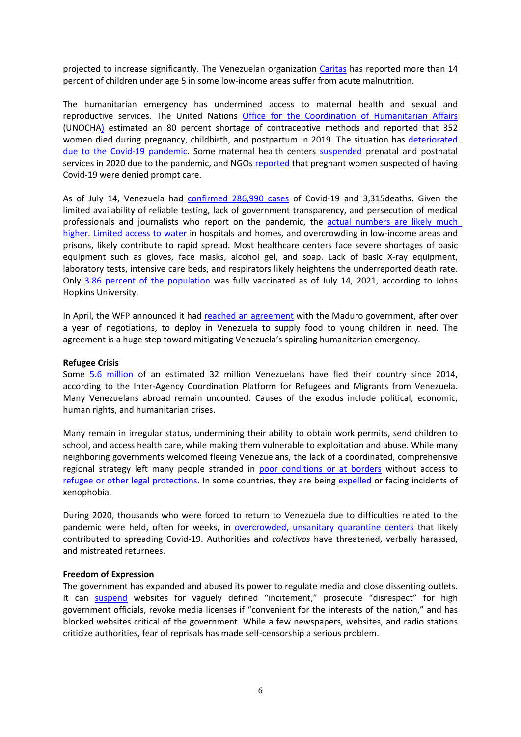projected to increase significantly. The Venezuelan organization [Caritas](http://caritasvenezuela.org/wp-content/uploads/2020/09/Boletin-SAMAN_Caritas-Venezuela_Abril-Julio2020-r1_compressed.pdf) has reported more than 14 percent of children under age 5 in some low-income areas suffer from acute malnutrition.

The humanitarian emergency has undermined access to maternal health and sexual and reproductive services. The United Nations Office for the [Coordination](https://reliefweb.int/sites/reliefweb.int/files/resources/venezuela_hrp_2020_en_vf.pdf) of Humanitarian Affairs (UNOCHA) estimated an 80 percent shortage of contraceptive methods and reported that 352 women died during pregnancy, childbirth, and postpartum in 2019. The situation has [deteriorated](https://www.hrw.org/report/2021/03/04/future-choices/charting-equitable-exit-covid-19-pandemic) due to the Covid-19 [pandemic](https://www.hrw.org/report/2021/03/04/future-choices/charting-equitable-exit-covid-19-pandemic). Some maternal health centers [suspended](https://www.womenslinkworldwide.org/informate/sala-de-prensa/la-salud-materna-y-la-salud-sexual-y-reproductiva-deben-ser-priorizadas-y-garantizadas-durante-la-pandemia-de-la-covid19) prenatal and postnatal services in 2020 due to the pandemic, and NGOs [reported](https://www.hrw.org/world-report/2021/country-chapters/venezuela) that pregnant women suspected of having Covid-19 were denied prompt care.

As of July 14, Venezuela had [confirmed](https://covid19.patria.org.ve/estadisticas-venezuela/) 286,990 cases of Covid-19 and 3,315deaths. Given the limited availability of reliable testing, lack of government transparency, and persecution of medical professionals and journalists who report on the pandemic, the actual [numbers](https://acfiman.org/wp-content/uploads/2021/02/Informe3Actualizacion0222-final.pdf) are likely much [higher](https://acfiman.org/wp-content/uploads/2021/02/Informe3Actualizacion0222-final.pdf). [Limited](https://www.hrw.org/news/2020/05/26/venezuela-urgent-aid-needed-combat-covid-19) access to water in hospitals and homes, and overcrowding in low-income areas and prisons, likely contribute to rapid spread. Most healthcare centers face severe shortages of basic equipment such as gloves, face masks, alcohol gel, and soap. Lack of basic X-ray equipment, laboratory tests, intensive care beds, and respirators likely heightens the underreported death rate. Only 3.86 percent of the [population](https://coronavirus.jhu.edu/region/venezuela) was fully vaccinated as of July 14, 2021, according to Johns Hopkins University.

In April, the WFP announced it had reached an [agreement](https://www.hrw.org/news/2021/04/23/world-food-program-set-help-venezuelan-children) with the Maduro government, after over <sup>a</sup> year of negotiations, to deploy in Venezuela to supply food to young children in need. The agreement is <sup>a</sup> huge step toward mitigating Venezuela'<sup>s</sup> spiraling humanitarian emergency.

### **Refugee Crisis**

Some 5.6 [million](https://www.r4v.info/es/refugiadosymigrantes) of an estimated 32 million Venezuelans have fled their country since 2014, according to the Inter-Agency Coordination Platform for Refugees and Migrants from Venezuela. Many Venezuelans abroad remain uncounted. Causes of the exodus include political, economic, human rights, and humanitarian crises.

Many remain in irregular status, undermining their ability to obtain work permits, send children to school, and access health care, while making them vulnerable to exploitation and abuse. While many neighboring governments welcomed fleeing Venezuelans, the lack of <sup>a</sup> coordinated, comprehensive regional strategy left many people stranded in poor [conditions](https://www.hrw.org/news/2019/08/29/war-colombia-venezuela-border) or at borders without access to refugee or other legal [protections](https://www.hrw.org/news/2021/03/05/mexico-abuses-against-asylum-seekers-us-border). In some countries, they are being [expelled](https://www.hrw.org/news/2021/02/03/deportation-venezuelan-kids-should-stop) or facing incidents of xenophobia.

During 2020, thousands who were forced to return to Venezuela due to difficulties related to the pandemic were held, often for weeks, in [overcrowded,](https://www.hrw.org/news/2020/10/13/venezuela-abusive-treatment-returnees) unsanitary quarantine centers that likely contributed to spreading Covid-19. Authorities and *colectivos* have threatened, verbally harassed, and mistreated returnees.

### **Freedom of Expression**

The government has expanded and abused its power to regulate media and close dissenting outlets. It can [suspend](https://www.hrw.org/world-report/2021/country-chapters/venezuela) websites for vaguely defined "incitement," prosecute "disrespect" for high government officials, revoke media licenses if "convenient for the interests of the nation," and has blocked websites critical of the government. While <sup>a</sup> few newspapers, websites, and radio stations criticize authorities, fear of reprisals has made self-censorship <sup>a</sup> serious problem.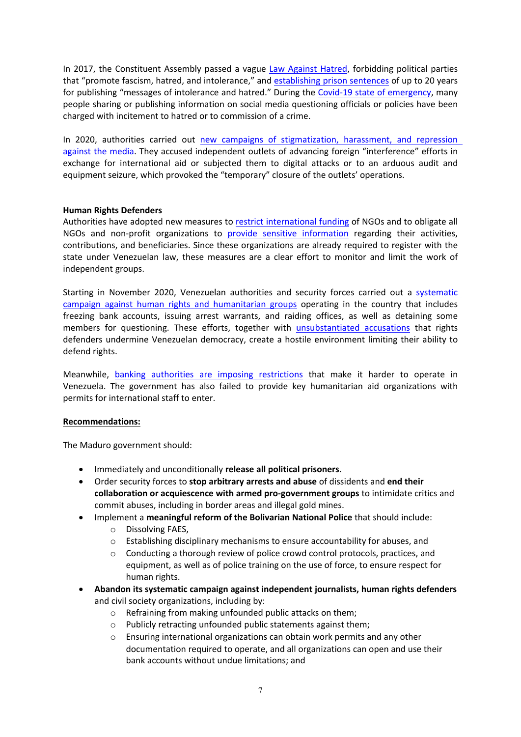In 2017, the Constituent Assembly passed a vague Law [Against](https://www.ghm.com.ve/wp-content/uploads/2017/11/41276.pdf) Hatred, forbidding political parties that "promote fascism, hatred, and intolerance," and [establishing](https://www.hrw.org/world-report/2020/country-chapters/venezuela) prison sentences of up to 20 years for publishing "messages of intolerance and hatred." During the Covid-19 state of [emergency](https://www.hrw.org/news/2020/08/28/venezuela-police-state-lashes-out-amid-covid-19), many people sharing or publishing information on social media questioning officials or policies have been charged with incitement to hatred or to commission of <sup>a</sup> crime.

In 2020, authorities carried out new campaigns of [stigmatization,](https://www.hrw.org/news/2021/01/14/venezuela-attacks-against-freedom-expression-must-cease-immediately) harassment, and repression [against](https://www.hrw.org/news/2021/01/14/venezuela-attacks-against-freedom-expression-must-cease-immediately) the media. They accused independent outlets of advancing foreign "interference" efforts in exchange for international aid or subjected them to digital attacks or to an arduous audit and equipment seizure, which provoked the "temporary" closure of the outlets' operations.

# **Human Rights Defenders**

Authorities have adopted new measures to restrict [international](https://www.venezuelablog.org/wp-content/uploads/2021/04/Gaceta-Oficial-42.098.pdf) funding of NGOs and to obligate all NGOs and non-profit organizations to provide sensitive [information](https://www.hrw.org/news/2021/04/19/venezuela-must-cease-repression-civil-society) regarding their activities, contributions, and beneficiaries. Since these organizations are already required to register with the state under Venezuelan law, these measures are <sup>a</sup> clear effort to monitor and limit the work of independent groups.

Starting in November 2020, Venezuelan authorities and security forces carried out <sup>a</sup> [systematic](https://www.hrw.org/news/2020/12/21/venezuela-humanitarian-groups-under-attack) campaign against human rights and [humanitarian](https://www.hrw.org/news/2020/12/21/venezuela-humanitarian-groups-under-attack) groups operating in the country that includes freezing bank accounts, issuing arrest warrants, and raiding offices, as well as detaining some members for questioning. These efforts, together with [unsubstantiated](https://www.hrw.org/news/2020/05/08/venezuelan-human-rights-group-under-attack) accusations that rights defenders undermine Venezuelan democracy, create <sup>a</sup> hostile environment limiting their ability to defend rights.

Meanwhile, banking [authorities](https://www.hrw.org/news/2020/12/21/venezuela-humanitarian-groups-under-attack) are imposing restrictions that make it harder to operate in Venezuela. The government has also failed to provide key humanitarian aid organizations with permits for international staff to enter.

# **Recommendations:**

e

The Maduro government should:

- Immediately and unconditionally **release all political prisoners**.
- Order security forces to **stop arbitrary arrests and abuse** of dissidents and **end their collaboration or acquiescence with armed pro-government groups** to intimidate critics and commit abuses, including in border areas and illegal gold mines.
	- Implement <sup>a</sup> **meaningful reform of the Bolivarian National Police** that should include: <sup>o</sup> Dissolving FAES,
		- <sup>o</sup> Establishing disciplinary mechanisms to ensure accountability for abuses, and
		- <sup>o</sup> Conducting <sup>a</sup> thorough review of police crowd control protocols, practices, and equipment, as well as of police training on the use of force, to ensure respect for human rights.
- c **Abandon its systematic campaign against independent journalists, human rights defenders** and civil society organizations, including by:
	- <sup>o</sup> Refraining from making unfounded public attacks on them;
	- <sup>o</sup> Publicly retracting unfounded public statements against them;
	- <sup>o</sup> Ensuring international organizations can obtain work permits and any other documentation required to operate, and all organizations can open and use their bank accounts without undue limitations; and